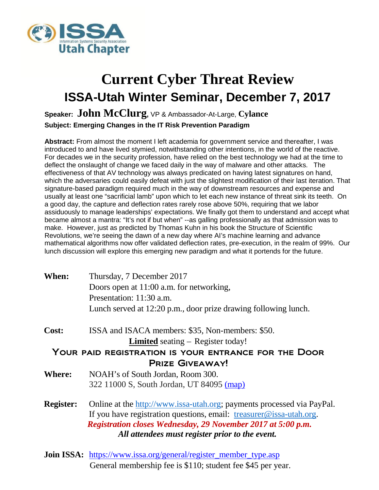

## **Current Cyber Threat Review ISSA-Utah Winter Seminar, December 7, 2017**

## **Speaker: John McClurg,** VP & Ambassador-At-Large, **Cylance Subject: Emerging Changes in the IT Risk Prevention Paradigm**

**Abstract:** From almost the moment I left academia for government service and thereafter, I was introduced to and have lived stymied, notwithstanding other intentions, in the world of the reactive. For decades we in the security profession, have relied on the best technology we had at the time to deflect the onslaught of change we faced daily in the way of malware and other attacks. The effectiveness of that AV technology was always predicated on having latest signatures on hand, which the adversaries could easily defeat with just the slightest modification of their last iteration. That signature-based paradigm required much in the way of downstream resources and expense and usually at least one "sacrificial lamb" upon which to let each new instance of threat sink its teeth. On a good day, the capture and deflection rates rarely rose above 50%, requiring that we labor assiduously to manage leaderships' expectations. We finally got them to understand and accept what became almost a mantra: "It's not if but when" --as galling professionally as that admission was to make. However, just as predicted by Thomas Kuhn in his book the Structure of Scientific Revolutions, we're seeing the dawn of a new day where AI's machine learning and advance mathematical algorithms now offer validated deflection rates, pre-execution, in the realm of 99%. Our lunch discussion will explore this emerging new paradigm and what it portends for the future.

| <b>When:</b> | Thursday, 7 December 2017                                       |
|--------------|-----------------------------------------------------------------|
|              | Doors open at 11:00 a.m. for networking,                        |
|              | Presentation: 11:30 a.m.                                        |
|              | Lunch served at 12:20 p.m., door prize drawing following lunch. |

**Cost:** ISSA and ISACA members: \$35, Non-members: \$50.

**Limited** seating – Register today!

Your paid registration is your entrance for the Door Prize Giveaway!

- **Where:** NOAH's of South Jordan, Room 300. 322 11000 S, South Jordan, UT 84095 [\(map\)](https://www.google.com/maps/place/NOAH)
- **Register:** Online at the [http://www.issa-utah.org;](http://www.issa-utah.org/) payments processed via PayPal. If you have registration questions, email:  $t$ reasurer@issa-utah.org.  *Registration closes Wednesday, 29 November 2017 at 5:00 p.m. All attendees must register prior to the event.*
- **Join ISSA:** [https://www.issa.org/general/register\\_member\\_type.asp](https://www.issa.org/general/register_member_type.asp) General membership fee is \$110; student fee \$45 per year.